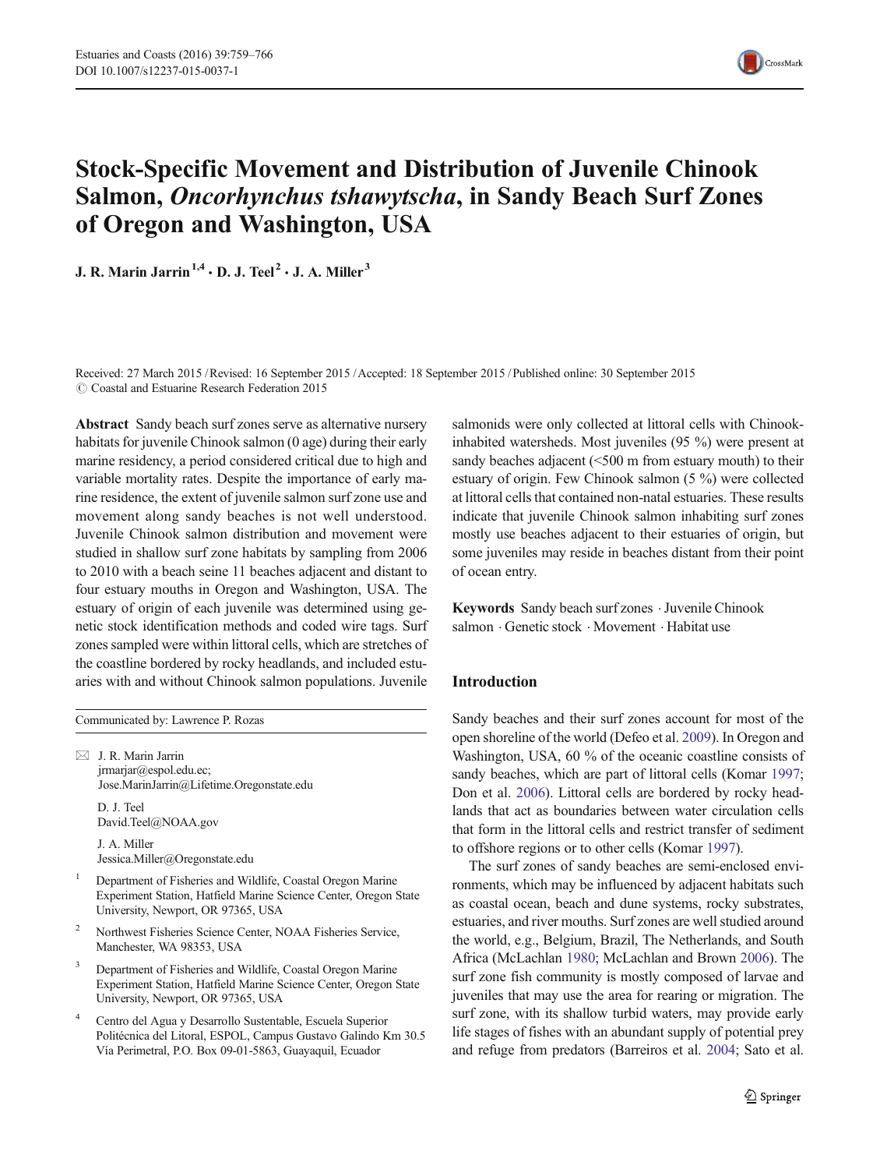

# Stock-Specific Movement and Distribution of Juvenile Chinook Salmon, Oncorhynchus tshawytscha, in Sandy Beach Surf Zones of Oregon and Washington, USA

J. R. Marin Jarrin<sup>1,4</sup>  $\cdot$  D. J. Teel<sup>2</sup>  $\cdot$  J. A. Miller<sup>3</sup>

Received: 27 March 2015 /Revised: 16 September 2015 /Accepted: 18 September 2015 / Published online: 30 September 2015  $\odot$  Coastal and Estuarine Research Federation 2015

Abstract Sandy beach surf zones serve as alternative nursery habitats for juvenile Chinook salmon (0 age) during their early marine residency, a period considered critical due to high and variable mortality rates. Despite the importance of early marine residence, the extent of juvenile salmon surf zone use and movement along sandy beaches is not well understood. Juvenile Chinook salmon distribution and movement were studied in shallow surf zone habitats by sampling from 2006 to 2010 with a beach seine 11 beaches adjacent and distant to four estuary mouths in Oregon and Washington, USA. The estuary of origin of each juvenile was determined using genetic stock identification methods and coded wire tags. Surf zones sampled were within littoral cells, which are stretches of the coastline bordered by rocky headlands, and included estuaries with and without Chinook salmon populations. Juvenile

Communicated by: Lawrence P. Rozas

 $\boxtimes$  J. R. Marin Jarrin jrmarjar@espol.edu.ec; Jose.MarinJarrin@Lifetime.Oregonstate.edu

D. J. Teel David.Teel@NOAA.gov

J. A. Miller Jessica.Miller@Oregonstate.edu

- <sup>1</sup> Department of Fisheries and Wildlife, Coastal Oregon Marine Experiment Station, Hatfield Marine Science Center, Oregon State University, Newport, OR 97365, USA
- <sup>2</sup> Northwest Fisheries Science Center, NOAA Fisheries Service, Manchester, WA 98353, USA
- Department of Fisheries and Wildlife, Coastal Oregon Marine Experiment Station, Hatfield Marine Science Center, Oregon State University, Newport, OR 97365, USA
- <sup>4</sup> Centro del Agua y Desarrollo Sustentable, Escuela Superior Politécnica del Litoral, ESPOL, Campus Gustavo Galindo Km 30.5 Vía Perimetral, P.O. Box 09-01-5863, Guayaquil, Ecuador

salmonids were only collected at littoral cells with Chinookinhabited watersheds. Most juveniles (95 %) were present at sandy beaches adjacent (<500 m from estuary mouth) to their estuary of origin. Few Chinook salmon (5 %) were collected at littoral cells that contained non-natal estuaries. These results indicate that juvenile Chinook salmon inhabiting surf zones mostly use beaches adjacent to their estuaries of origin, but some juveniles may reside in beaches distant from their point of ocean entry.

Keywords Sandy beach surf zones . Juvenile Chinook salmon . Genetic stock . Movement . Habitat use

## Introduction

Sandy beaches and their surf zones account for most of the open shoreline of the world (Defeo et al. [2009](#page-6-0)). In Oregon and Washington, USA, 60 % of the oceanic coastline consists of sandy beaches, which are part of littoral cells (Komar [1997;](#page-6-0) Don et al. [2006](#page-6-0)). Littoral cells are bordered by rocky headlands that act as boundaries between water circulation cells that form in the littoral cells and restrict transfer of sediment to offshore regions or to other cells (Komar [1997\)](#page-6-0).

The surf zones of sandy beaches are semi-enclosed environments, which may be influenced by adjacent habitats such as coastal ocean, beach and dune systems, rocky substrates, estuaries, and river mouths. Surf zones are well studied around the world, e.g., Belgium, Brazil, The Netherlands, and South Africa (McLachlan [1980;](#page-7-0) McLachlan and Brown [2006\)](#page-7-0). The surf zone fish community is mostly composed of larvae and juveniles that may use the area for rearing or migration. The surf zone, with its shallow turbid waters, may provide early life stages of fishes with an abundant supply of potential prey and refuge from predators (Barreiros et al. [2004;](#page-6-0) Sato et al.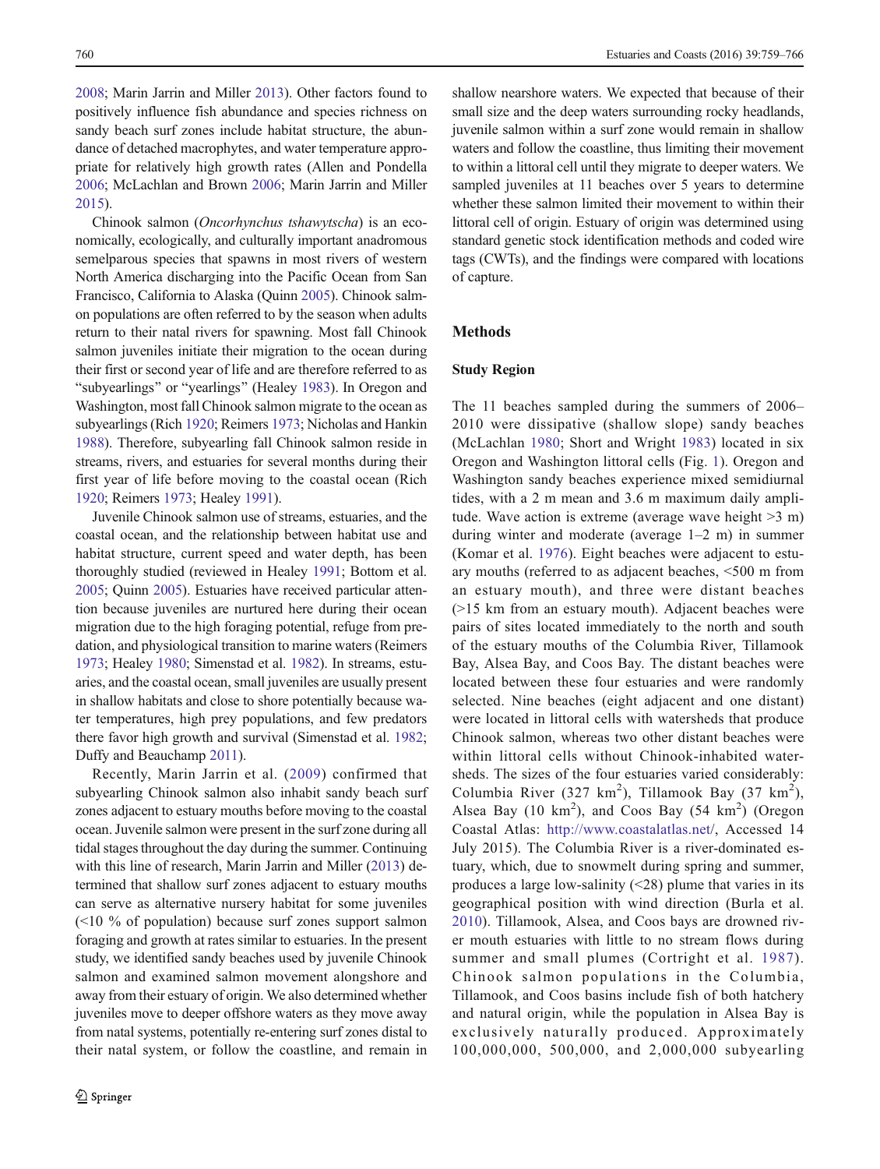[2008;](#page-7-0) Marin Jarrin and Miller [2013](#page-7-0)). Other factors found to positively influence fish abundance and species richness on sandy beach surf zones include habitat structure, the abundance of detached macrophytes, and water temperature appropriate for relatively high growth rates (Allen and Pondella [2006;](#page-6-0) McLachlan and Brown [2006](#page-7-0); Marin Jarrin and Miller [2015\)](#page-7-0).

Chinook salmon (Oncorhynchus tshawytscha) is an economically, ecologically, and culturally important anadromous semelparous species that spawns in most rivers of western North America discharging into the Pacific Ocean from San Francisco, California to Alaska (Quinn [2005\)](#page-7-0). Chinook salmon populations are often referred to by the season when adults return to their natal rivers for spawning. Most fall Chinook salmon juveniles initiate their migration to the ocean during their first or second year of life and are therefore referred to as "subyearlings" or "yearlings" (Healey [1983\)](#page-6-0). In Oregon and Washington, most fall Chinook salmon migrate to the ocean as subyearlings (Rich [1920;](#page-7-0) Reimers [1973](#page-7-0); Nicholas and Hankin [1988\)](#page-7-0). Therefore, subyearling fall Chinook salmon reside in streams, rivers, and estuaries for several months during their first year of life before moving to the coastal ocean (Rich [1920;](#page-7-0) Reimers [1973](#page-7-0); Healey [1991](#page-6-0)).

Juvenile Chinook salmon use of streams, estuaries, and the coastal ocean, and the relationship between habitat use and habitat structure, current speed and water depth, has been thoroughly studied (reviewed in Healey [1991](#page-6-0); Bottom et al. [2005;](#page-6-0) Quinn [2005](#page-7-0)). Estuaries have received particular attention because juveniles are nurtured here during their ocean migration due to the high foraging potential, refuge from predation, and physiological transition to marine waters (Reimers [1973;](#page-7-0) Healey [1980;](#page-6-0) Simenstad et al. [1982](#page-7-0)). In streams, estuaries, and the coastal ocean, small juveniles are usually present in shallow habitats and close to shore potentially because water temperatures, high prey populations, and few predators there favor high growth and survival (Simenstad et al. [1982](#page-7-0); Duffy and Beauchamp [2011](#page-6-0)).

Recently, Marin Jarrin et al. ([2009\)](#page-7-0) confirmed that subyearling Chinook salmon also inhabit sandy beach surf zones adjacent to estuary mouths before moving to the coastal ocean. Juvenile salmon were present in the surf zone during all tidal stages throughout the day during the summer. Continuing with this line of research, Marin Jarrin and Miller [\(2013\)](#page-7-0) determined that shallow surf zones adjacent to estuary mouths can serve as alternative nursery habitat for some juveniles (<10 % of population) because surf zones support salmon foraging and growth at rates similar to estuaries. In the present study, we identified sandy beaches used by juvenile Chinook salmon and examined salmon movement alongshore and away from their estuary of origin. We also determined whether juveniles move to deeper offshore waters as they move away from natal systems, potentially re-entering surf zones distal to their natal system, or follow the coastline, and remain in

shallow nearshore waters. We expected that because of their small size and the deep waters surrounding rocky headlands, juvenile salmon within a surf zone would remain in shallow waters and follow the coastline, thus limiting their movement to within a littoral cell until they migrate to deeper waters. We sampled juveniles at 11 beaches over 5 years to determine whether these salmon limited their movement to within their littoral cell of origin. Estuary of origin was determined using standard genetic stock identification methods and coded wire tags (CWTs), and the findings were compared with locations of capture.

## **Methods**

## Study Region

The 11 beaches sampled during the summers of 2006– 2010 were dissipative (shallow slope) sandy beaches (McLachlan [1980](#page-7-0); Short and Wright [1983](#page-7-0)) located in six Oregon and Washington littoral cells (Fig. [1](#page-2-0)). Oregon and Washington sandy beaches experience mixed semidiurnal tides, with a 2 m mean and 3.6 m maximum daily amplitude. Wave action is extreme (average wave height  $>3$  m) during winter and moderate (average 1–2 m) in summer (Komar et al. [1976\)](#page-6-0). Eight beaches were adjacent to estuary mouths (referred to as adjacent beaches, <500 m from an estuary mouth), and three were distant beaches (>15 km from an estuary mouth). Adjacent beaches were pairs of sites located immediately to the north and south of the estuary mouths of the Columbia River, Tillamook Bay, Alsea Bay, and Coos Bay. The distant beaches were located between these four estuaries and were randomly selected. Nine beaches (eight adjacent and one distant) were located in littoral cells with watersheds that produce Chinook salmon, whereas two other distant beaches were within littoral cells without Chinook-inhabited watersheds. The sizes of the four estuaries varied considerably: Columbia River (327 km<sup>2</sup>), Tillamook Bay (37 km<sup>2</sup>), Alsea Bay (10  $km^2$ ), and Coos Bay (54  $km^2$ ) (Oregon Coastal Atlas: <http://www.coastalatlas.net>/, Accessed 14 July 2015). The Columbia River is a river-dominated estuary, which, due to snowmelt during spring and summer, produces a large low-salinity (<28) plume that varies in its geographical position with wind direction (Burla et al. [2010](#page-6-0)). Tillamook, Alsea, and Coos bays are drowned river mouth estuaries with little to no stream flows during summer and small plumes (Cortright et al. [1987\)](#page-6-0). Chinook salmon populations in the Columbia, Tillamook, and Coos basins include fish of both hatchery and natural origin, while the population in Alsea Bay is exclusively naturally produced. Approximately 100,000,000, 500,000, and 2,000,000 subyearling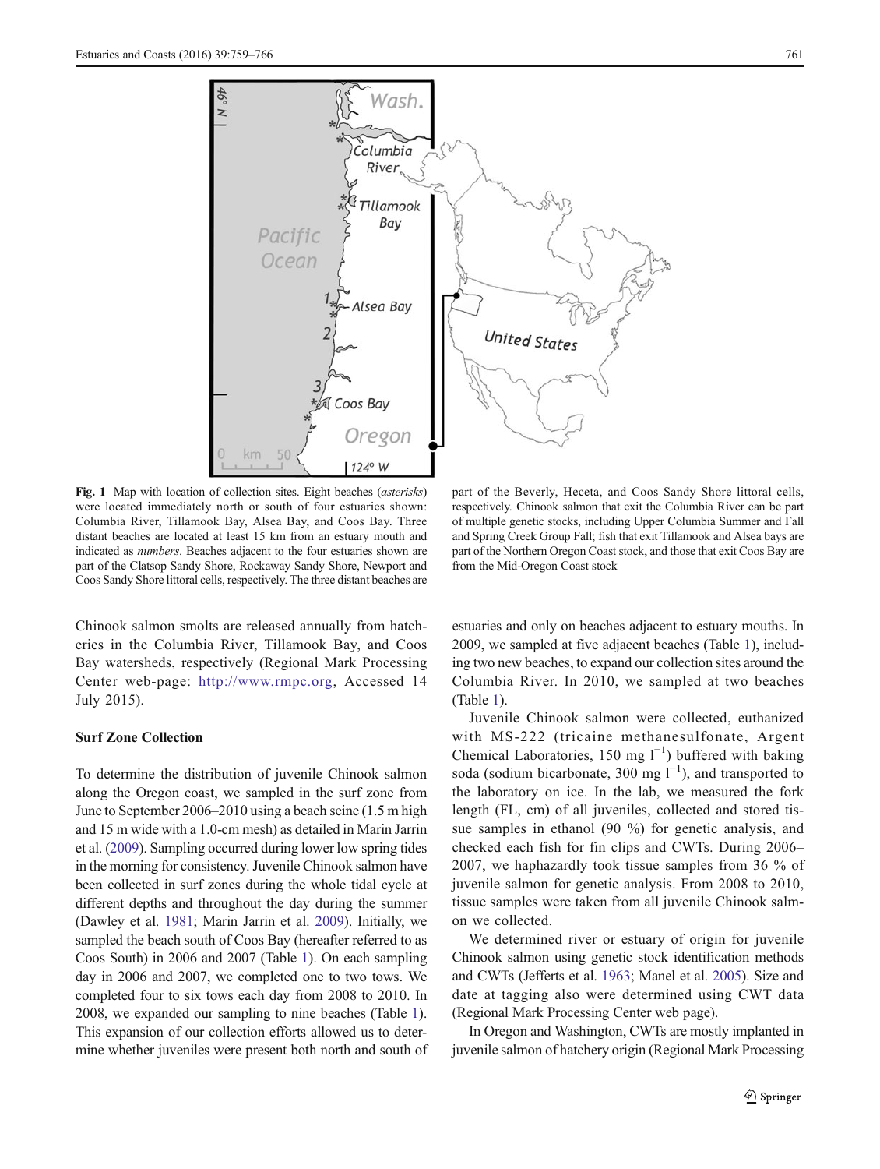<span id="page-2-0"></span>

Fig. 1 Map with location of collection sites. Eight beaches (asterisks) were located immediately north or south of four estuaries shown: Columbia River, Tillamook Bay, Alsea Bay, and Coos Bay. Three distant beaches are located at least 15 km from an estuary mouth and indicated as numbers. Beaches adjacent to the four estuaries shown are part of the Clatsop Sandy Shore, Rockaway Sandy Shore, Newport and Coos Sandy Shore littoral cells, respectively. The three distant beaches are

Chinook salmon smolts are released annually from hatcheries in the Columbia River, Tillamook Bay, and Coos Bay watersheds, respectively (Regional Mark Processing Center web-page: <http://www.rmpc.org>, Accessed 14 July 2015).

## Surf Zone Collection

To determine the distribution of juvenile Chinook salmon along the Oregon coast, we sampled in the surf zone from June to September 2006–2010 using a beach seine (1.5 m high and 15 m wide with a 1.0-cm mesh) as detailed in Marin Jarrin et al. [\(2009\)](#page-7-0). Sampling occurred during lower low spring tides in the morning for consistency. Juvenile Chinook salmon have been collected in surf zones during the whole tidal cycle at different depths and throughout the day during the summer (Dawley et al. [1981;](#page-6-0) Marin Jarrin et al. [2009\)](#page-7-0). Initially, we sampled the beach south of Coos Bay (hereafter referred to as Coos South) in 2006 and 2007 (Table [1\)](#page-3-0). On each sampling day in 2006 and 2007, we completed one to two tows. We completed four to six tows each day from 2008 to 2010. In 2008, we expanded our sampling to nine beaches (Table [1\)](#page-3-0). This expansion of our collection efforts allowed us to determine whether juveniles were present both north and south of

part of the Beverly, Heceta, and Coos Sandy Shore littoral cells, respectively. Chinook salmon that exit the Columbia River can be part of multiple genetic stocks, including Upper Columbia Summer and Fall and Spring Creek Group Fall; fish that exit Tillamook and Alsea bays are part of the Northern Oregon Coast stock, and those that exit Coos Bay are from the Mid-Oregon Coast stock

estuaries and only on beaches adjacent to estuary mouths. In 2009, we sampled at five adjacent beaches (Table [1](#page-3-0)), including two new beaches, to expand our collection sites around the Columbia River. In 2010, we sampled at two beaches (Table [1](#page-3-0)).

Juvenile Chinook salmon were collected, euthanized with MS-222 (tricaine methanesulfonate, Argent Chemical Laboratories, 150 mg  $l^{-1}$ ) buffered with baking soda (sodium bicarbonate, 300 mg  $l^{-1}$ ), and transported to the laboratory on ice. In the lab, we measured the fork length (FL, cm) of all juveniles, collected and stored tissue samples in ethanol (90 %) for genetic analysis, and checked each fish for fin clips and CWTs. During 2006– 2007, we haphazardly took tissue samples from 36 % of juvenile salmon for genetic analysis. From 2008 to 2010, tissue samples were taken from all juvenile Chinook salmon we collected.

We determined river or estuary of origin for juvenile Chinook salmon using genetic stock identification methods and CWTs (Jefferts et al. [1963;](#page-6-0) Manel et al. [2005](#page-6-0)). Size and date at tagging also were determined using CWT data (Regional Mark Processing Center web page).

In Oregon and Washington, CWTs are mostly implanted in juvenile salmon of hatchery origin (Regional Mark Processing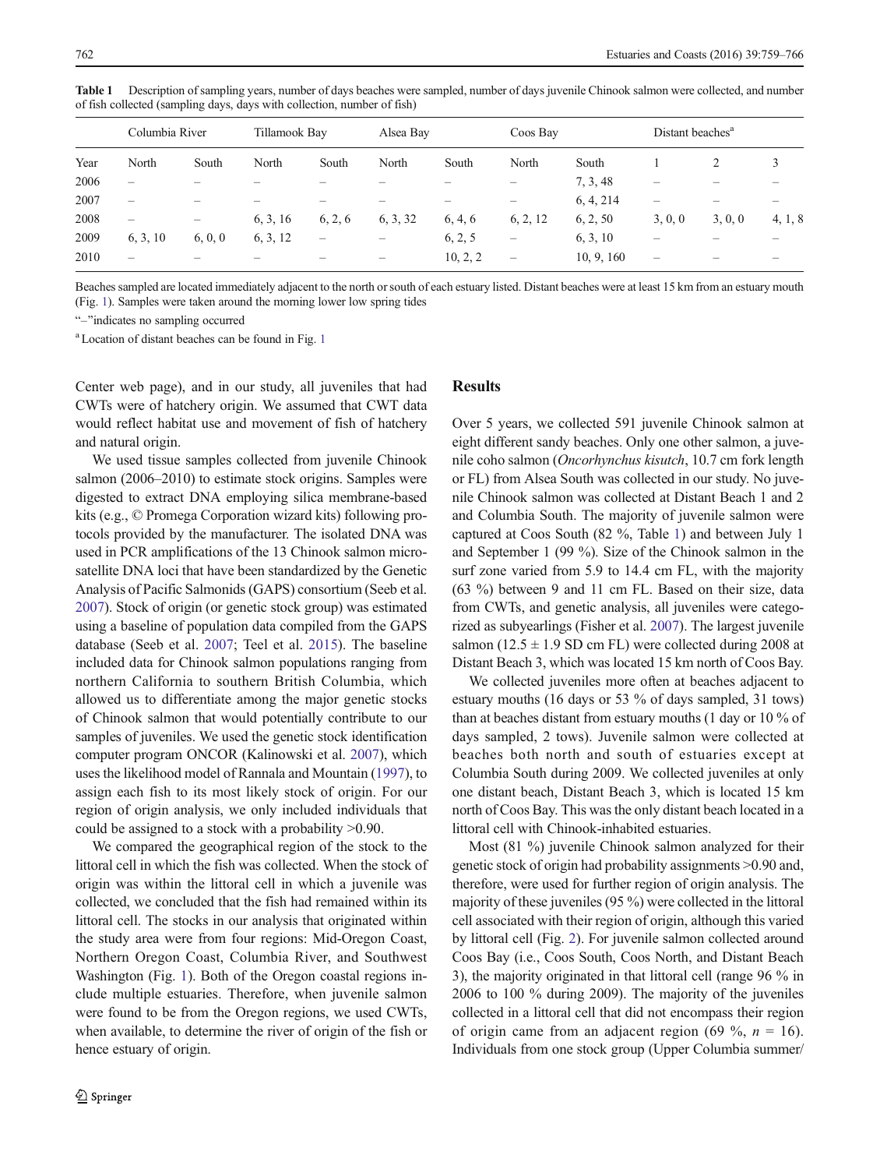Columbia River Tillamook Bay Alsea Bay Coos Bay Distant beaches<sup>a</sup> Year North South North South North South North South 1 2 3 2006 – –– –– – – 7, 3, 48 ––– 2007 – –– –– – – 6, 4, 214 ––– 2008 – – 6, 3, 16 6, 2, 6 6, 3, 32 6, 4, 6 6, 2, 12 6, 2, 50 3, 0, 0 3, 0, 0 4, 1, 8 2009 6, 3, 10 6, 0, 0 6, 3, 12 – – 6, 2, 5 – 6, 3, 10 –––  $2010$  – – – – – – – 10, 2, 2 – 10, 9, 160 – – –

<span id="page-3-0"></span>Table 1 Description of sampling years, number of days beaches were sampled, number of days juvenile Chinook salmon were collected, and number of fish collected (sampling days, days with collection, number of fish)

Beaches sampled are located immediately adjacent to the north or south of each estuary listed. Distant beaches were at least 15 km from an estuary mouth (Fig. [1\)](#page-2-0). Samples were taken around the morning lower low spring tides

"-"indicates no sampling occurred

a Location of distant beaches can be found in Fig. [1](#page-2-0)

Center web page), and in our study, all juveniles that had CWTs were of hatchery origin. We assumed that CWT data would reflect habitat use and movement of fish of hatchery and natural origin.

We used tissue samples collected from juvenile Chinook salmon (2006–2010) to estimate stock origins. Samples were digested to extract DNA employing silica membrane-based kits (e.g., © Promega Corporation wizard kits) following protocols provided by the manufacturer. The isolated DNA was used in PCR amplifications of the 13 Chinook salmon microsatellite DNA loci that have been standardized by the Genetic Analysis of Pacific Salmonids (GAPS) consortium (Seeb et al. [2007\)](#page-7-0). Stock of origin (or genetic stock group) was estimated using a baseline of population data compiled from the GAPS database (Seeb et al. [2007](#page-7-0); Teel et al. [2015\)](#page-7-0). The baseline included data for Chinook salmon populations ranging from northern California to southern British Columbia, which allowed us to differentiate among the major genetic stocks of Chinook salmon that would potentially contribute to our samples of juveniles. We used the genetic stock identification computer program ONCOR (Kalinowski et al. [2007\)](#page-6-0), which uses the likelihood model of Rannala and Mountain [\(1997\)](#page-7-0), to assign each fish to its most likely stock of origin. For our region of origin analysis, we only included individuals that could be assigned to a stock with a probability >0.90.

We compared the geographical region of the stock to the littoral cell in which the fish was collected. When the stock of origin was within the littoral cell in which a juvenile was collected, we concluded that the fish had remained within its littoral cell. The stocks in our analysis that originated within the study area were from four regions: Mid-Oregon Coast, Northern Oregon Coast, Columbia River, and Southwest Washington (Fig. [1](#page-2-0)). Both of the Oregon coastal regions include multiple estuaries. Therefore, when juvenile salmon were found to be from the Oregon regions, we used CWTs, when available, to determine the river of origin of the fish or hence estuary of origin.

## **Results**

Over 5 years, we collected 591 juvenile Chinook salmon at eight different sandy beaches. Only one other salmon, a juvenile coho salmon (Oncorhynchus kisutch, 10.7 cm fork length or FL) from Alsea South was collected in our study. No juvenile Chinook salmon was collected at Distant Beach 1 and 2 and Columbia South. The majority of juvenile salmon were captured at Coos South (82 %, Table 1) and between July 1 and September 1 (99 %). Size of the Chinook salmon in the surf zone varied from 5.9 to 14.4 cm FL, with the majority (63 %) between 9 and 11 cm FL. Based on their size, data from CWTs, and genetic analysis, all juveniles were categorized as subyearlings (Fisher et al. [2007\)](#page-6-0). The largest juvenile salmon (12.5  $\pm$  1.9 SD cm FL) were collected during 2008 at Distant Beach 3, which was located 15 km north of Coos Bay.

We collected juveniles more often at beaches adjacent to estuary mouths (16 days or 53 % of days sampled, 31 tows) than at beaches distant from estuary mouths (1 day or 10 % of days sampled, 2 tows). Juvenile salmon were collected at beaches both north and south of estuaries except at Columbia South during 2009. We collected juveniles at only one distant beach, Distant Beach 3, which is located 15 km north of Coos Bay. This was the only distant beach located in a littoral cell with Chinook-inhabited estuaries.

Most (81 %) juvenile Chinook salmon analyzed for their genetic stock of origin had probability assignments >0.90 and, therefore, were used for further region of origin analysis. The majority of these juveniles (95 %) were collected in the littoral cell associated with their region of origin, although this varied by littoral cell (Fig. [2\)](#page-4-0). For juvenile salmon collected around Coos Bay (i.e., Coos South, Coos North, and Distant Beach 3), the majority originated in that littoral cell (range 96 % in 2006 to 100 % during 2009). The majority of the juveniles collected in a littoral cell that did not encompass their region of origin came from an adjacent region (69 %,  $n = 16$ ). Individuals from one stock group (Upper Columbia summer/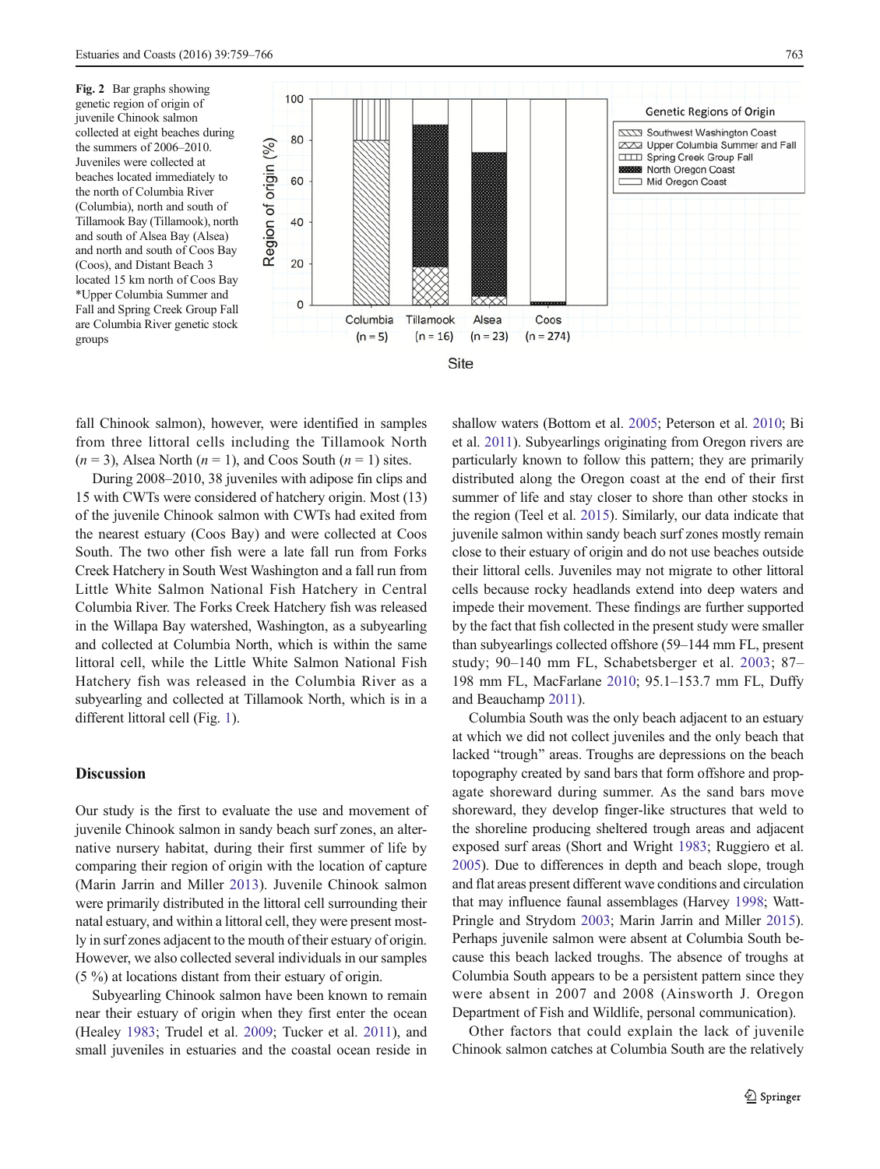<span id="page-4-0"></span>Fig. 2 Bar graphs showing genetic region of origin of juvenile Chinook salmon collected at eight beaches during the summers of 2006–2010. Juveniles were collected at beaches located immediately to the north of Columbia River (Columbia), north and south of Tillamook Bay (Tillamook), north and south of Alsea Bay (Alsea) and north and south of Coos Bay (Coos), and Distant Beach 3 located 15 km north of Coos Bay \*Upper Columbia Summer and Fall and Spring Creek Group Fall are Columbia River genetic stock groups



fall Chinook salmon), however, were identified in samples from three littoral cells including the Tillamook North  $(n = 3)$ , Alsea North  $(n = 1)$ , and Coos South  $(n = 1)$  sites.

During 2008–2010, 38 juveniles with adipose fin clips and 15 with CWTs were considered of hatchery origin. Most (13) of the juvenile Chinook salmon with CWTs had exited from the nearest estuary (Coos Bay) and were collected at Coos South. The two other fish were a late fall run from Forks Creek Hatchery in South West Washington and a fall run from Little White Salmon National Fish Hatchery in Central Columbia River. The Forks Creek Hatchery fish was released in the Willapa Bay watershed, Washington, as a subyearling and collected at Columbia North, which is within the same littoral cell, while the Little White Salmon National Fish Hatchery fish was released in the Columbia River as a subyearling and collected at Tillamook North, which is in a different littoral cell (Fig. [1\)](#page-2-0).

## Discussion

Our study is the first to evaluate the use and movement of juvenile Chinook salmon in sandy beach surf zones, an alternative nursery habitat, during their first summer of life by comparing their region of origin with the location of capture (Marin Jarrin and Miller [2013\)](#page-7-0). Juvenile Chinook salmon were primarily distributed in the littoral cell surrounding their natal estuary, and within a littoral cell, they were present mostly in surf zones adjacent to the mouth of their estuary of origin. However, we also collected several individuals in our samples (5 %) at locations distant from their estuary of origin.

Subyearling Chinook salmon have been known to remain near their estuary of origin when they first enter the ocean (Healey [1983](#page-6-0); Trudel et al. [2009;](#page-7-0) Tucker et al. [2011\)](#page-7-0), and small juveniles in estuaries and the coastal ocean reside in shallow waters (Bottom et al. [2005](#page-6-0); Peterson et al. [2010](#page-7-0); Bi et al. [2011](#page-6-0)). Subyearlings originating from Oregon rivers are particularly known to follow this pattern; they are primarily distributed along the Oregon coast at the end of their first summer of life and stay closer to shore than other stocks in the region (Teel et al. [2015\)](#page-7-0). Similarly, our data indicate that juvenile salmon within sandy beach surf zones mostly remain close to their estuary of origin and do not use beaches outside their littoral cells. Juveniles may not migrate to other littoral cells because rocky headlands extend into deep waters and impede their movement. These findings are further supported by the fact that fish collected in the present study were smaller than subyearlings collected offshore (59–144 mm FL, present study; 90–140 mm FL, Schabetsberger et al. [2003](#page-7-0); 87– 198 mm FL, MacFarlane [2010;](#page-6-0) 95.1–153.7 mm FL, Duffy and Beauchamp [2011\)](#page-6-0).

Columbia South was the only beach adjacent to an estuary at which we did not collect juveniles and the only beach that lacked "trough" areas. Troughs are depressions on the beach topography created by sand bars that form offshore and propagate shoreward during summer. As the sand bars move shoreward, they develop finger-like structures that weld to the shoreline producing sheltered trough areas and adjacent exposed surf areas (Short and Wright [1983;](#page-7-0) Ruggiero et al. [2005\)](#page-7-0). Due to differences in depth and beach slope, trough and flat areas present different wave conditions and circulation that may influence faunal assemblages (Harvey [1998](#page-6-0); Watt-Pringle and Strydom [2003](#page-7-0); Marin Jarrin and Miller [2015\)](#page-7-0). Perhaps juvenile salmon were absent at Columbia South because this beach lacked troughs. The absence of troughs at Columbia South appears to be a persistent pattern since they were absent in 2007 and 2008 (Ainsworth J. Oregon Department of Fish and Wildlife, personal communication).

Other factors that could explain the lack of juvenile Chinook salmon catches at Columbia South are the relatively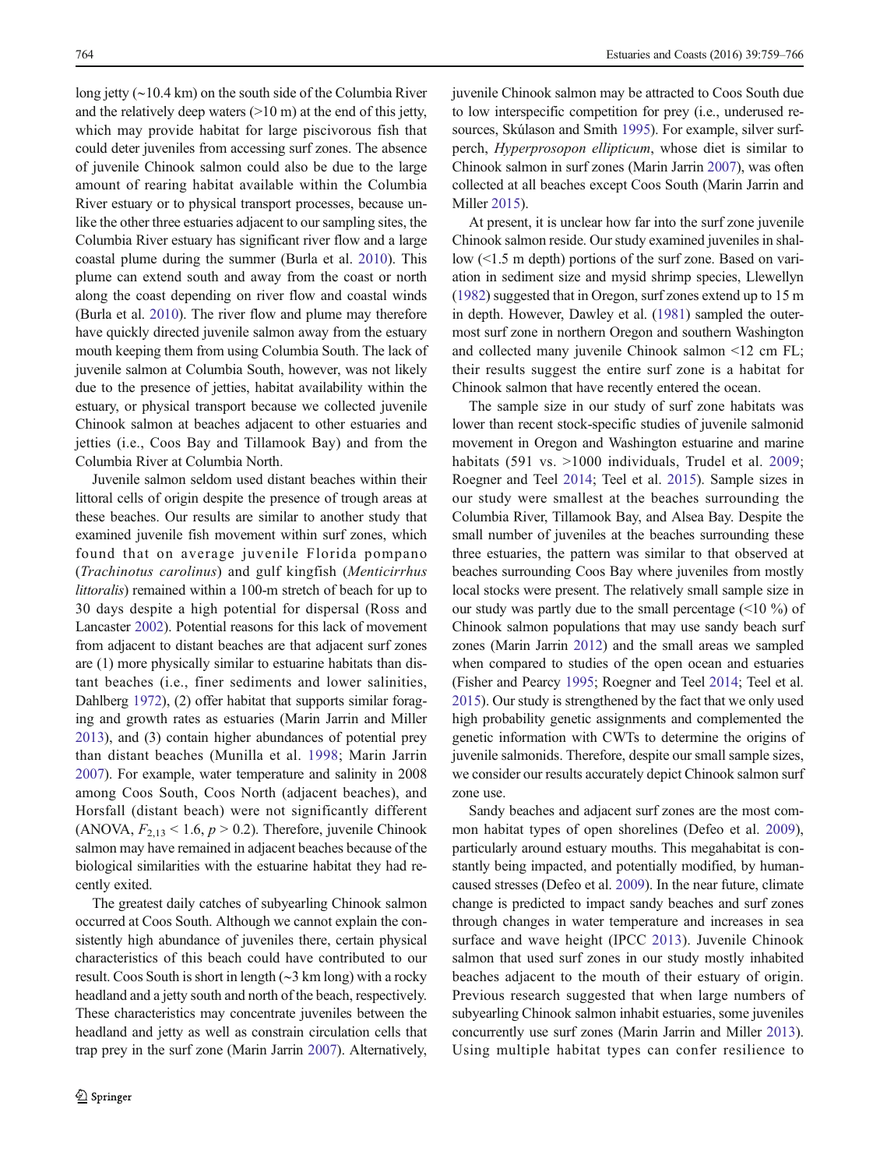long jetty (∼10.4 km) on the south side of the Columbia River and the relatively deep waters  $(>10 \text{ m})$  at the end of this jetty, which may provide habitat for large piscivorous fish that could deter juveniles from accessing surf zones. The absence of juvenile Chinook salmon could also be due to the large amount of rearing habitat available within the Columbia River estuary or to physical transport processes, because unlike the other three estuaries adjacent to our sampling sites, the Columbia River estuary has significant river flow and a large coastal plume during the summer (Burla et al. [2010](#page-6-0)). This plume can extend south and away from the coast or north along the coast depending on river flow and coastal winds (Burla et al. [2010\)](#page-6-0). The river flow and plume may therefore have quickly directed juvenile salmon away from the estuary mouth keeping them from using Columbia South. The lack of juvenile salmon at Columbia South, however, was not likely due to the presence of jetties, habitat availability within the estuary, or physical transport because we collected juvenile Chinook salmon at beaches adjacent to other estuaries and jetties (i.e., Coos Bay and Tillamook Bay) and from the Columbia River at Columbia North.

Juvenile salmon seldom used distant beaches within their littoral cells of origin despite the presence of trough areas at these beaches. Our results are similar to another study that examined juvenile fish movement within surf zones, which found that on average juvenile Florida pompano (Trachinotus carolinus) and gulf kingfish (Menticirrhus littoralis) remained within a 100-m stretch of beach for up to 30 days despite a high potential for dispersal (Ross and Lancaster [2002\)](#page-7-0). Potential reasons for this lack of movement from adjacent to distant beaches are that adjacent surf zones are (1) more physically similar to estuarine habitats than distant beaches (i.e., finer sediments and lower salinities, Dahlberg [1972\)](#page-6-0), (2) offer habitat that supports similar foraging and growth rates as estuaries (Marin Jarrin and Miller [2013\)](#page-7-0), and (3) contain higher abundances of potential prey than distant beaches (Munilla et al. [1998](#page-7-0); Marin Jarrin [2007\)](#page-6-0). For example, water temperature and salinity in 2008 among Coos South, Coos North (adjacent beaches), and Horsfall (distant beach) were not significantly different (ANOVA,  $F_{2,13}$  < 1.6,  $p > 0.2$ ). Therefore, juvenile Chinook salmon may have remained in adjacent beaches because of the biological similarities with the estuarine habitat they had recently exited.

The greatest daily catches of subyearling Chinook salmon occurred at Coos South. Although we cannot explain the consistently high abundance of juveniles there, certain physical characteristics of this beach could have contributed to our result. Coos South is short in length (∼3 km long) with a rocky headland and a jetty south and north of the beach, respectively. These characteristics may concentrate juveniles between the headland and jetty as well as constrain circulation cells that trap prey in the surf zone (Marin Jarrin [2007](#page-6-0)). Alternatively, juvenile Chinook salmon may be attracted to Coos South due to low interspecific competition for prey (i.e., underused resources, Skúlason and Smith [1995](#page-7-0)). For example, silver surfperch, Hyperprosopon ellipticum, whose diet is similar to Chinook salmon in surf zones (Marin Jarrin [2007\)](#page-6-0), was often collected at all beaches except Coos South (Marin Jarrin and Miller [2015](#page-7-0)).

At present, it is unclear how far into the surf zone juvenile Chinook salmon reside. Our study examined juveniles in shallow (<1.5 m depth) portions of the surf zone. Based on variation in sediment size and mysid shrimp species, Llewellyn [\(1982\)](#page-6-0) suggested that in Oregon, surf zones extend up to 15 m in depth. However, Dawley et al. ([1981](#page-6-0)) sampled the outermost surf zone in northern Oregon and southern Washington and collected many juvenile Chinook salmon <12 cm FL; their results suggest the entire surf zone is a habitat for Chinook salmon that have recently entered the ocean.

The sample size in our study of surf zone habitats was lower than recent stock-specific studies of juvenile salmonid movement in Oregon and Washington estuarine and marine habitats (591 vs. >1000 individuals, Trudel et al. [2009;](#page-7-0) Roegner and Teel [2014](#page-7-0); Teel et al. [2015\)](#page-7-0). Sample sizes in our study were smallest at the beaches surrounding the Columbia River, Tillamook Bay, and Alsea Bay. Despite the small number of juveniles at the beaches surrounding these three estuaries, the pattern was similar to that observed at beaches surrounding Coos Bay where juveniles from mostly local stocks were present. The relatively small sample size in our study was partly due to the small percentage (<10 %) of Chinook salmon populations that may use sandy beach surf zones (Marin Jarrin [2012](#page-6-0)) and the small areas we sampled when compared to studies of the open ocean and estuaries (Fisher and Pearcy [1995](#page-6-0); Roegner and Teel [2014;](#page-7-0) Teel et al. [2015\)](#page-7-0). Our study is strengthened by the fact that we only used high probability genetic assignments and complemented the genetic information with CWTs to determine the origins of juvenile salmonids. Therefore, despite our small sample sizes, we consider our results accurately depict Chinook salmon surf zone use.

Sandy beaches and adjacent surf zones are the most common habitat types of open shorelines (Defeo et al. [2009\)](#page-6-0), particularly around estuary mouths. This megahabitat is constantly being impacted, and potentially modified, by humancaused stresses (Defeo et al. [2009](#page-6-0)). In the near future, climate change is predicted to impact sandy beaches and surf zones through changes in water temperature and increases in sea surface and wave height (IPCC [2013\)](#page-6-0). Juvenile Chinook salmon that used surf zones in our study mostly inhabited beaches adjacent to the mouth of their estuary of origin. Previous research suggested that when large numbers of subyearling Chinook salmon inhabit estuaries, some juveniles concurrently use surf zones (Marin Jarrin and Miller [2013\)](#page-7-0). Using multiple habitat types can confer resilience to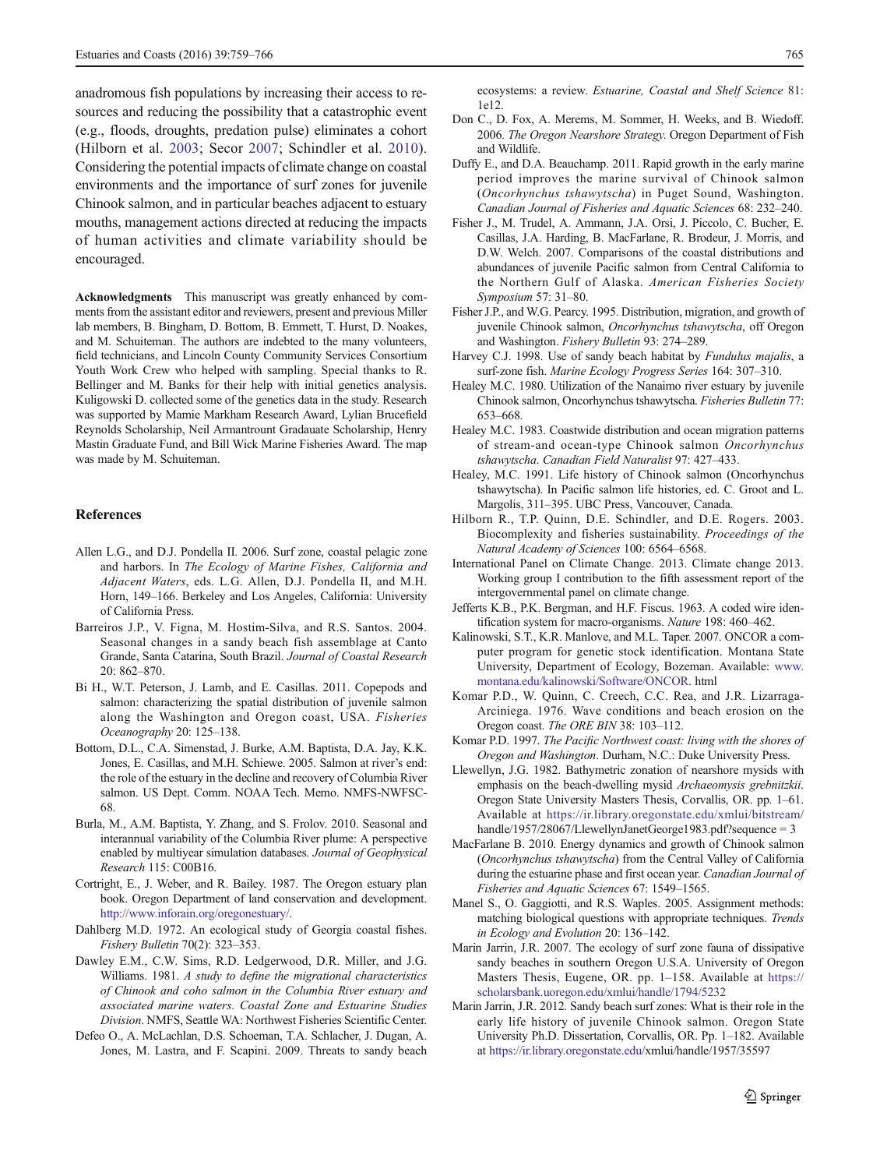<span id="page-6-0"></span>anadromous fish populations by increasing their access to resources and reducing the possibility that a catastrophic event (e.g., floods, droughts, predation pulse) eliminates a cohort (Hilborn et al. 2003; Secor [2007;](#page-7-0) Schindler et al. [2010](#page-7-0)). Considering the potential impacts of climate change on coastal environments and the importance of surf zones for juvenile Chinook salmon, and in particular beaches adjacent to estuary mouths, management actions directed at reducing the impacts of human activities and climate variability should be encouraged.

Acknowledgments This manuscript was greatly enhanced by comments from the assistant editor and reviewers, present and previous Miller lab members, B. Bingham, D. Bottom, B. Emmett, T. Hurst, D. Noakes, and M. Schuiteman. The authors are indebted to the many volunteers, field technicians, and Lincoln County Community Services Consortium Youth Work Crew who helped with sampling. Special thanks to R. Bellinger and M. Banks for their help with initial genetics analysis. Kuligowski D. collected some of the genetics data in the study. Research was supported by Mamie Markham Research Award, Lylian Brucefield Reynolds Scholarship, Neil Armantrount Gradauate Scholarship, Henry Mastin Graduate Fund, and Bill Wick Marine Fisheries Award. The map was made by M. Schuiteman.

### References

- Allen L.G., and D.J. Pondella II. 2006. Surf zone, coastal pelagic zone and harbors. In The Ecology of Marine Fishes, California and Adjacent Waters, eds. L.G. Allen, D.J. Pondella II, and M.H. Horn, 149–166. Berkeley and Los Angeles, California: University of California Press.
- Barreiros J.P., V. Figna, M. Hostim-Silva, and R.S. Santos. 2004. Seasonal changes in a sandy beach fish assemblage at Canto Grande, Santa Catarina, South Brazil. Journal of Coastal Research 20: 862–870.
- Bi H., W.T. Peterson, J. Lamb, and E. Casillas. 2011. Copepods and salmon: characterizing the spatial distribution of juvenile salmon along the Washington and Oregon coast, USA. Fisheries Oceanography 20: 125–138.
- Bottom, D.L., C.A. Simenstad, J. Burke, A.M. Baptista, D.A. Jay, K.K. Jones, E. Casillas, and M.H. Schiewe. 2005. Salmon at river's end: the role of the estuary in the decline and recovery of Columbia River salmon. US Dept. Comm. NOAA Tech. Memo. NMFS-NWFSC-68.
- Burla, M., A.M. Baptista, Y. Zhang, and S. Frolov. 2010. Seasonal and interannual variability of the Columbia River plume: A perspective enabled by multiyear simulation databases. Journal of Geophysical Research 115: C00B16.
- Cortright, E., J. Weber, and R. Bailey. 1987. The Oregon estuary plan book. Oregon Department of land conservation and development. [http://www.inforain.org/oregonestuary/.](http://www.inforain.org/oregonestuary/)
- Dahlberg M.D. 1972. An ecological study of Georgia coastal fishes. Fishery Bulletin 70(2): 323–353.
- Dawley E.M., C.W. Sims, R.D. Ledgerwood, D.R. Miller, and J.G. Williams. 1981. A study to define the migrational characteristics of Chinook and coho salmon in the Columbia River estuary and associated marine waters. Coastal Zone and Estuarine Studies Division. NMFS, Seattle WA: Northwest Fisheries Scientific Center.
- Defeo O., A. McLachlan, D.S. Schoeman, T.A. Schlacher, J. Dugan, A. Jones, M. Lastra, and F. Scapini. 2009. Threats to sandy beach

ecosystems: a review. Estuarine, Coastal and Shelf Science 81: 1e12.

- Don C., D. Fox, A. Merems, M. Sommer, H. Weeks, and B. Wiedoff. 2006. The Oregon Nearshore Strategy. Oregon Department of Fish and Wildlife.
- Duffy E., and D.A. Beauchamp. 2011. Rapid growth in the early marine period improves the marine survival of Chinook salmon (Oncorhynchus tshawytscha) in Puget Sound, Washington. Canadian Journal of Fisheries and Aquatic Sciences 68: 232–240.
- Fisher J., M. Trudel, A. Ammann, J.A. Orsi, J. Piccolo, C. Bucher, E. Casillas, J.A. Harding, B. MacFarlane, R. Brodeur, J. Morris, and D.W. Welch. 2007. Comparisons of the coastal distributions and abundances of juvenile Pacific salmon from Central California to the Northern Gulf of Alaska. American Fisheries Society Symposium 57: 31–80.
- Fisher J.P., and W.G. Pearcy. 1995. Distribution, migration, and growth of juvenile Chinook salmon, Oncorhynchus tshawytscha, off Oregon and Washington. Fishery Bulletin 93: 274–289.
- Harvey C.J. 1998. Use of sandy beach habitat by Fundulus majalis, a surf-zone fish. Marine Ecology Progress Series 164: 307–310.
- Healey M.C. 1980. Utilization of the Nanaimo river estuary by juvenile Chinook salmon, Oncorhynchus tshawytscha. Fisheries Bulletin 77: 653–668.
- Healey M.C. 1983. Coastwide distribution and ocean migration patterns of stream-and ocean-type Chinook salmon Oncorhynchus tshawytscha. Canadian Field Naturalist 97: 427–433.
- Healey, M.C. 1991. Life history of Chinook salmon (Oncorhynchus tshawytscha). In Pacific salmon life histories, ed. C. Groot and L. Margolis, 311–395. UBC Press, Vancouver, Canada.
- Hilborn R., T.P. Quinn, D.E. Schindler, and D.E. Rogers. 2003. Biocomplexity and fisheries sustainability. Proceedings of the Natural Academy of Sciences 100: 6564–6568.
- International Panel on Climate Change. 2013. Climate change 2013. Working group I contribution to the fifth assessment report of the intergovernmental panel on climate change.
- Jefferts K.B., P.K. Bergman, and H.F. Fiscus. 1963. A coded wire identification system for macro-organisms. Nature 198: 460–462.
- Kalinowski, S.T., K.R. Manlove, and M.L. Taper. 2007. ONCOR a computer program for genetic stock identification. Montana State University, Department of Ecology, Bozeman. Available: [www.](http://www.montana.edu/kalinowski/Software/ONCOR) [montana.edu/kalinowski/Software/ONCOR](http://www.montana.edu/kalinowski/Software/ONCOR). html
- Komar P.D., W. Quinn, C. Creech, C.C. Rea, and J.R. Lizarraga-Arciniega. 1976. Wave conditions and beach erosion on the Oregon coast. The ORE BIN 38: 103–112.
- Komar P.D. 1997. The Pacific Northwest coast: living with the shores of Oregon and Washington. Durham, N.C.: Duke University Press.
- Llewellyn, J.G. 1982. Bathymetric zonation of nearshore mysids with emphasis on the beach-dwelling mysid Archaeomysis grebnitzkii. Oregon State University Masters Thesis, Corvallis, OR. pp. 1–61. Available at [https://ir.library.oregonstate.edu/xmlui/bitstream/](https://ir.library.oregonstate.edu/xmlui/bitstream) handle/1957/28067/LlewellynJanetGeorge1983.pdf?sequence = 3
- MacFarlane B. 2010. Energy dynamics and growth of Chinook salmon (Oncorhynchus tshawytscha) from the Central Valley of California during the estuarine phase and first ocean year. Canadian Journal of Fisheries and Aquatic Sciences 67: 1549–1565.
- Manel S., O. Gaggiotti, and R.S. Waples. 2005. Assignment methods: matching biological questions with appropriate techniques. Trends in Ecology and Evolution 20: 136–142.
- Marin Jarrin, J.R. 2007. The ecology of surf zone fauna of dissipative sandy beaches in southern Oregon U.S.A. University of Oregon Masters Thesis, Eugene, OR. pp. 1–158. Available at [https://](https://scholarsbank.uoregon.edu/xmlui/handle/1794/5232) [scholarsbank.uoregon.edu/xmlui/handle/1794/5232](https://scholarsbank.uoregon.edu/xmlui/handle/1794/5232)
- Marin Jarrin, J.R. 2012. Sandy beach surf zones: What is their role in the early life history of juvenile Chinook salmon. Oregon State University Ph.D. Dissertation, Corvallis, OR. Pp. 1–182. Available at <https://ir.library.oregonstate.edu>/xmlui/handle/1957/35597